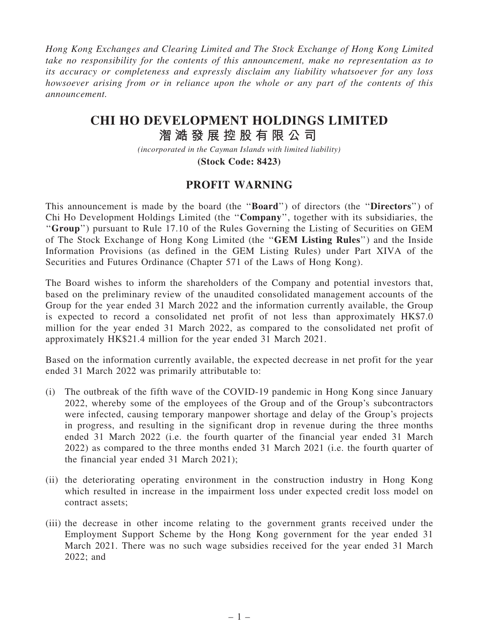Hong Kong Exchanges and Clearing Limited and The Stock Exchange of Hong Kong Limited take no responsibility for the contents of this announcement, make no representation as to its accuracy or completeness and expressly disclaim any liability whatsoever for any loss howsoever arising from or in reliance upon the whole or any part of the contents of this announcement.

## **CHI HO DEVELOPMENT HOLDINGS LIMITED**

## **潪 㵆 發 展 控 股 有 限 公 司**

*(incorporated in the Cayman Islands with limited liability)* **(Stock Code: 8423)**

## PROFIT WARNING

This announcement is made by the board (the ''Board'') of directors (the ''Directors'') of Chi Ho Development Holdings Limited (the ''Company'', together with its subsidiaries, the "Group") pursuant to Rule 17.10 of the Rules Governing the Listing of Securities on GEM of The Stock Exchange of Hong Kong Limited (the ''GEM Listing Rules'') and the Inside Information Provisions (as defined in the GEM Listing Rules) under Part XIVA of the Securities and Futures Ordinance (Chapter 571 of the Laws of Hong Kong).

The Board wishes to inform the shareholders of the Company and potential investors that, based on the preliminary review of the unaudited consolidated management accounts of the Group for the year ended 31 March 2022 and the information currently available, the Group is expected to record a consolidated net profit of not less than approximately HK\$7.0 million for the year ended 31 March 2022, as compared to the consolidated net profit of approximately HK\$21.4 million for the year ended 31 March 2021.

Based on the information currently available, the expected decrease in net profit for the year ended 31 March 2022 was primarily attributable to:

- (i) The outbreak of the fifth wave of the COVID-19 pandemic in Hong Kong since January 2022, whereby some of the employees of the Group and of the Group's subcontractors were infected, causing temporary manpower shortage and delay of the Group's projects in progress, and resulting in the significant drop in revenue during the three months ended 31 March 2022 (i.e. the fourth quarter of the financial year ended 31 March 2022) as compared to the three months ended 31 March 2021 (i.e. the fourth quarter of the financial year ended 31 March 2021);
- (ii) the deteriorating operating environment in the construction industry in Hong Kong which resulted in increase in the impairment loss under expected credit loss model on contract assets;
- (iii) the decrease in other income relating to the government grants received under the Employment Support Scheme by the Hong Kong government for the year ended 31 March 2021. There was no such wage subsidies received for the year ended 31 March 2022; and